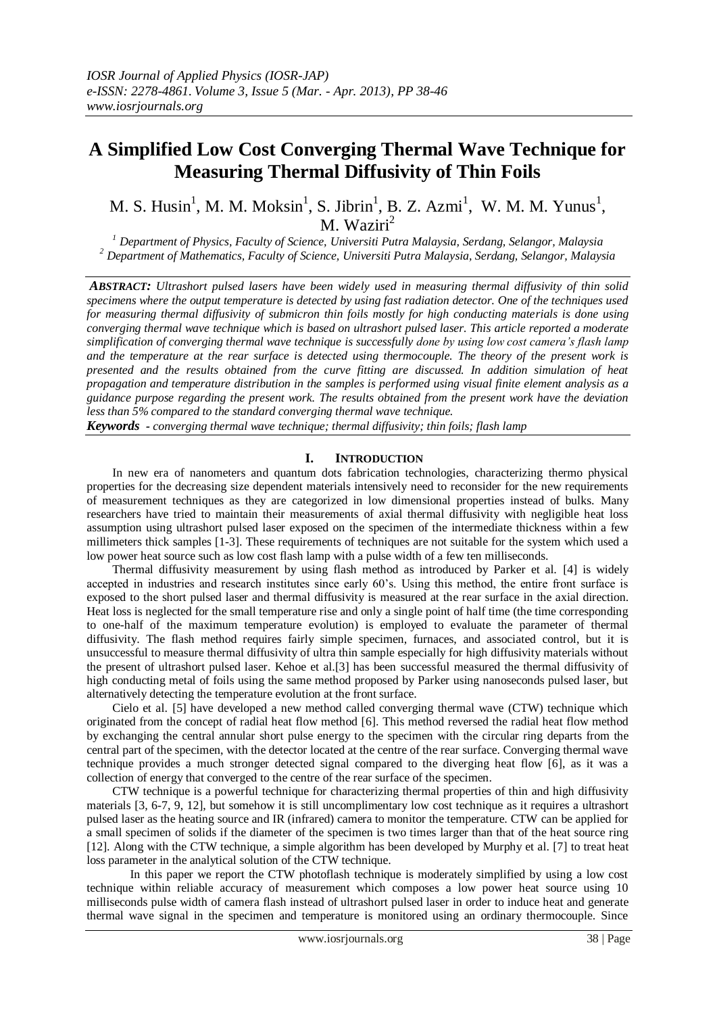# **A Simplified Low Cost Converging Thermal Wave Technique for Measuring Thermal Diffusivity of Thin Foils**

M. S. Husin<sup>1</sup>, M. M. Moksin<sup>1</sup>, S. Jibrin<sup>1</sup>, B. Z. Azmi<sup>1</sup>, W. M. M. Yunus<sup>1</sup>, M. Waziri<sup>2</sup>

*<sup>1</sup> Department of Physics, Faculty of Science, Universiti Putra Malaysia, Serdang, Selangor, Malaysia <sup>2</sup> Department of Mathematics, Faculty of Science, Universiti Putra Malaysia, Serdang, Selangor, Malaysia*

*ABSTRACT: Ultrashort pulsed lasers have been widely used in measuring thermal diffusivity of thin solid specimens where the output temperature is detected by using fast radiation detector. One of the techniques used for measuring thermal diffusivity of submicron thin foils mostly for high conducting materials is done using converging thermal wave technique which is based on ultrashort pulsed laser. This article reported a moderate simplification of converging thermal wave technique is successfully done by using low cost camera's flash lamp and the temperature at the rear surface is detected using thermocouple. The theory of the present work is presented and the results obtained from the curve fitting are discussed. In addition simulation of heat propagation and temperature distribution in the samples is performed using visual finite element analysis as a guidance purpose regarding the present work. The results obtained from the present work have the deviation less than 5% compared to the standard converging thermal wave technique.*

*Keywords - converging thermal wave technique; thermal diffusivity; thin foils; flash lamp*

### **I. INTRODUCTION**

In new era of nanometers and quantum dots fabrication technologies, characterizing thermo physical properties for the decreasing size dependent materials intensively need to reconsider for the new requirements of measurement techniques as they are categorized in low dimensional properties instead of bulks. Many researchers have tried to maintain their measurements of axial thermal diffusivity with negligible heat loss assumption using ultrashort pulsed laser exposed on the specimen of the intermediate thickness within a few millimeters thick samples [1-3]. These requirements of techniques are not suitable for the system which used a low power heat source such as low cost flash lamp with a pulse width of a few ten milliseconds.

Thermal diffusivity measurement by using flash method as introduced by Parker et al. [4] is widely accepted in industries and research institutes since early 60's. Using this method, the entire front surface is exposed to the short pulsed laser and thermal diffusivity is measured at the rear surface in the axial direction. Heat loss is neglected for the small temperature rise and only a single point of half time (the time corresponding to one-half of the maximum temperature evolution) is employed to evaluate the parameter of thermal diffusivity. The flash method requires fairly simple specimen, furnaces, and associated control, but it is unsuccessful to measure thermal diffusivity of ultra thin sample especially for high diffusivity materials without the present of ultrashort pulsed laser. Kehoe et al.[3] has been successful measured the thermal diffusivity of high conducting metal of foils using the same method proposed by Parker using nanoseconds pulsed laser, but alternatively detecting the temperature evolution at the front surface.

Cielo et al. [5] have developed a new method called converging thermal wave (CTW) technique which originated from the concept of radial heat flow method [6]. This method reversed the radial heat flow method by exchanging the central annular short pulse energy to the specimen with the circular ring departs from the central part of the specimen, with the detector located at the centre of the rear surface. Converging thermal wave technique provides a much stronger detected signal compared to the diverging heat flow [6], as it was a collection of energy that converged to the centre of the rear surface of the specimen.

CTW technique is a powerful technique for characterizing thermal properties of thin and high diffusivity materials [3, 6-7, 9, 12], but somehow it is still uncomplimentary low cost technique as it requires a ultrashort pulsed laser as the heating source and IR (infrared) camera to monitor the temperature. CTW can be applied for a small specimen of solids if the diameter of the specimen is two times larger than that of the heat source ring [12]. Along with the CTW technique, a simple algorithm has been developed by Murphy et al. [7] to treat heat loss parameter in the analytical solution of the CTW technique.

In this paper we report the CTW photoflash technique is moderately simplified by using a low cost technique within reliable accuracy of measurement which composes a low power heat source using 10 milliseconds pulse width of camera flash instead of ultrashort pulsed laser in order to induce heat and generate thermal wave signal in the specimen and temperature is monitored using an ordinary thermocouple. Since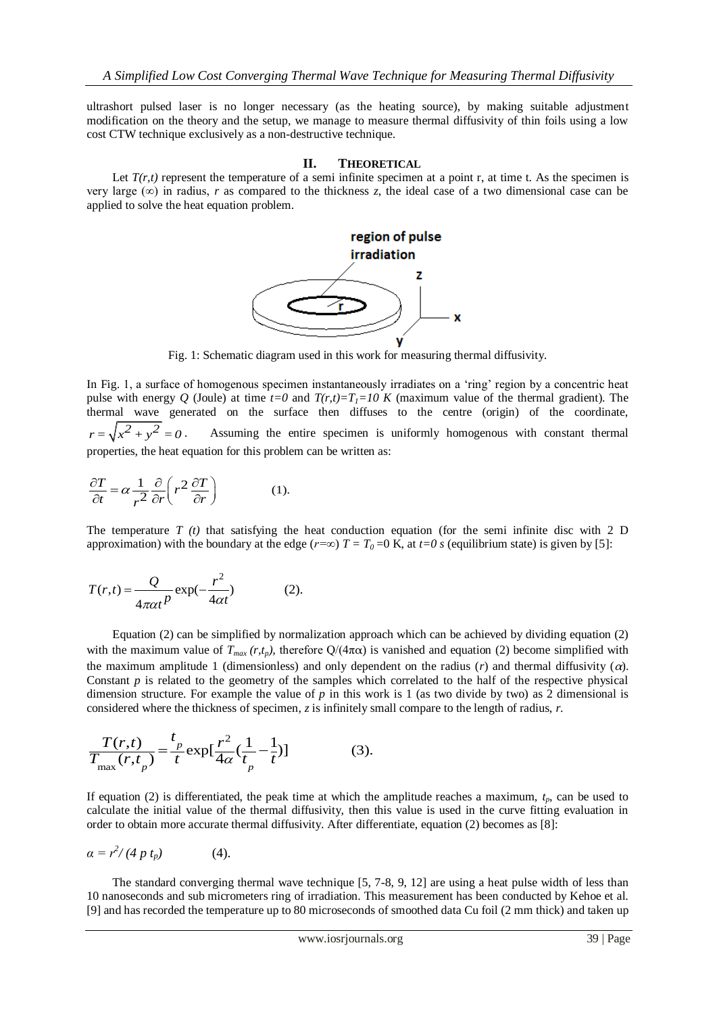ultrashort pulsed laser is no longer necessary (as the heating source), by making suitable adjustment modification on the theory and the setup, we manage to measure thermal diffusivity of thin foils using a low cost CTW technique exclusively as a non-destructive technique.

#### **II. THEORETICAL**

Let  $T(r,t)$  represent the temperature of a semi infinite specimen at a point r, at time t. As the specimen is very large  $(\infty)$  in radius, *r* as compared to the thickness *z*, the ideal case of a two dimensional case can be applied to solve the heat equation problem.



Fig. 1: Schematic diagram used in this work for measuring thermal diffusivity.

In Fig. 1, a surface of homogenous specimen instantaneously irradiates on a 'ring' region by a concentric heat pulse with energy *Q* (Joule) at time  $t=0$  and  $T(r,t)=T_f=10$  K (maximum value of the thermal gradient). The thermal wave generated on the surface then diffuses to the centre (origin) of the coordinate,  $r = \sqrt{x^2 + y^2} = 0$ . Assuming the entire specimen is uniformly homogenous with constant thermal

properties, the heat equation for this problem can be written as:  
\n
$$
\frac{\partial T}{\partial t} = \alpha \frac{1}{r^2} \frac{\partial}{\partial r} \left( r^2 \frac{\partial T}{\partial r} \right)
$$
\n(1).

The temperature  $T(t)$  that satisfying the heat conduction equation (for the semi infinite disc with 2 D approximation) with the boundary at the edge ( $r=\infty$ )  $T = T_0 = 0$  K, at  $t=0$  *s* (equilibrium state) is given by [5]:

$$
T(r,t) = \frac{Q}{4\pi\alpha t^p} \exp(-\frac{r^2}{4\alpha t})
$$
 (2).

Equation (2) can be simplified by normalization approach which can be achieved by dividing equation (2) with the maximum value of  $T_{max}(r,t_p)$ , therefore  $Q/(4\pi\alpha)$  is vanished and equation (2) become simplified with the maximum amplitude 1 (dimensionless) and only dependent on the radius (*r*) and thermal diffusivity (α). Constant  $p$  is related to the geometry of the samples which correlated to the half of the respective physical dimension structure. For example the value of  $p$  in this work is 1 (as two divide by two) as 2 dimensional is

considered where the thickness of specimen, z is infinitely small compare to the length of radius, r.  
\n
$$
\frac{T(r,t)}{T_{\text{max}}(r,t_p)} = \frac{t_p}{t} \exp[\frac{r^2}{4\alpha}(\frac{1}{t_p} - \frac{1}{t})]
$$
\n(3).

If equation (2) is differentiated, the peak time at which the amplitude reaches a maximum, *tp*, can be used to calculate the initial value of the thermal diffusivity, then this value is used in the curve fitting evaluation in order to obtain more accurate thermal diffusivity. After differentiate, equation (2) becomes as [8]:

$$
\alpha = r^2/(4\ p\ t_p) \tag{4}.
$$

The standard converging thermal wave technique [5, 7-8, 9, 12] are using a heat pulse width of less than 10 nanoseconds and sub micrometers ring of irradiation. This measurement has been conducted by Kehoe et al. [9] and has recorded the temperature up to 80 microseconds of smoothed data Cu foil (2 mm thick) and taken up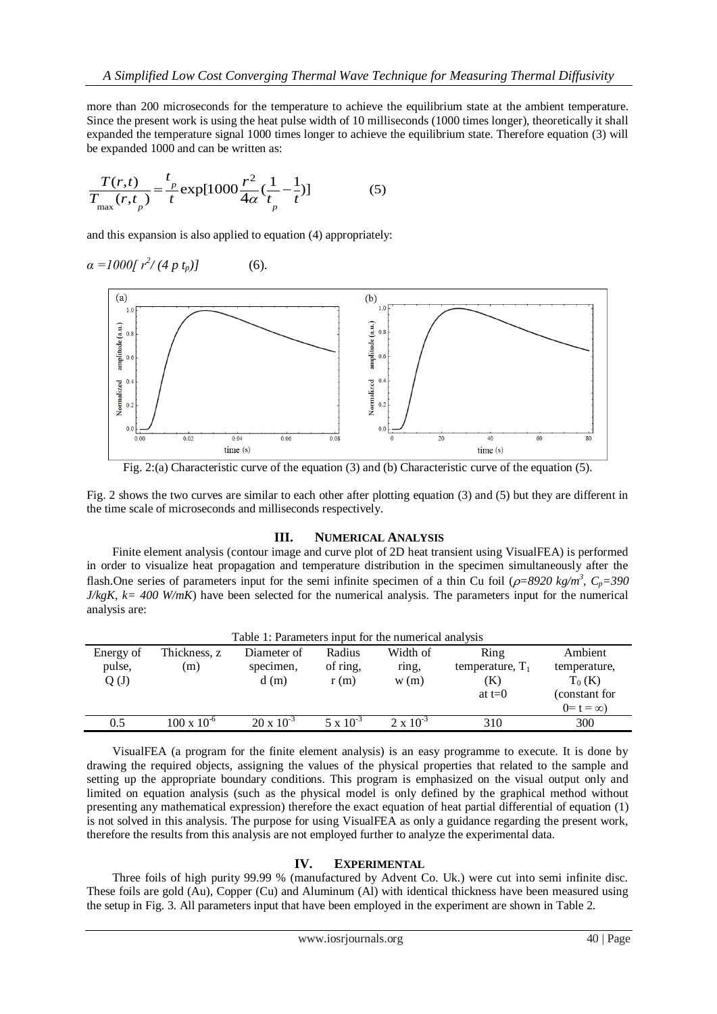more than 200 microseconds for the temperature to achieve the equilibrium state at the ambient temperature. Since the present work is using the heat pulse width of 10 milliseconds (1000 times longer), theoretically it shall expanded the temperature signal 1000 times longer to achieve the equilibrium state. Therefore equation (3) will

be expanded 1000 and can be written as:  
\n
$$
\frac{T(r,t)}{T_{\text{max}}(r,t_p)} = \frac{t_p}{t} \exp[1000 \frac{r^2}{4\alpha} (\frac{1}{t_p} - \frac{1}{t})]
$$
\n(5)

and this expansion is also applied to equation (4) appropriately:

$$
\alpha = 1000[r^2/(4\ p\ t_p)] \tag{6}.
$$



Fig. 2:(a) Characteristic curve of the equation (3) and (b) Characteristic curve of the equation (5).

Fig. 2 shows the two curves are similar to each other after plotting equation (3) and (5) but they are different in the time scale of microseconds and milliseconds respectively.

#### **III. NUMERICAL ANALYSIS**

Finite element analysis (contour image and curve plot of 2D heat transient using VisualFEA) is performed in order to visualize heat propagation and temperature distribution in the specimen simultaneously after the flash. One series of parameters input for the semi infinite specimen of a thin Cu foil ( $\rho$ =8920 kg/m<sup>3</sup>, C<sub>p</sub>=390  $J/kgK$ ,  $k = 400$  W/mK) have been selected for the numerical analysis. The parameters input for the numerical analysis are:

| Table 1: Parameters input for the numerical analysis |                      |                     |                    |                    |                    |                  |
|------------------------------------------------------|----------------------|---------------------|--------------------|--------------------|--------------------|------------------|
| Energy of                                            | Thickness, z         | Diameter of         | Radius             | Width of           | Ring               | Ambient          |
| pulse,                                               | (m)                  | specimen,           | of ring,           | ring,              | temperature, $T_1$ | temperature,     |
| Q(J)                                                 |                      | d(m)                | r(m)               | w(m)               | (K)                | $T_0$ (K)        |
|                                                      |                      |                     |                    |                    | at $t=0$           | (constant for    |
|                                                      |                      |                     |                    |                    |                    | $0 = t = \infty$ |
| 0.5                                                  | $100 \times 10^{-6}$ | $20 \times 10^{-3}$ | $5 \times 10^{-3}$ | $2 \times 10^{-3}$ | 310                | 300              |
|                                                      |                      |                     |                    |                    |                    |                  |

VisualFEA (a program for the finite element analysis) is an easy programme to execute. It is done by drawing the required objects, assigning the values of the physical properties that related to the sample and setting up the appropriate boundary conditions. This program is emphasized on the visual output only and limited on equation analysis (such as the physical model is only defined by the graphical method without presenting any mathematical expression) therefore the exact equation of heat partial differential of equation (1) is not solved in this analysis. The purpose for using VisualFEA as only a guidance regarding the present work, therefore the results from this analysis are not employed further to analyze the experimental data.

## **IV. EXPERIMENTAL**

Three foils of high purity 99.99 % (manufactured by Advent Co. Uk.) were cut into semi infinite disc. These foils are gold (Au), Copper (Cu) and Aluminum (Al) with identical thickness have been measured using the setup in Fig. 3. All parameters input that have been employed in the experiment are shown in Table 2.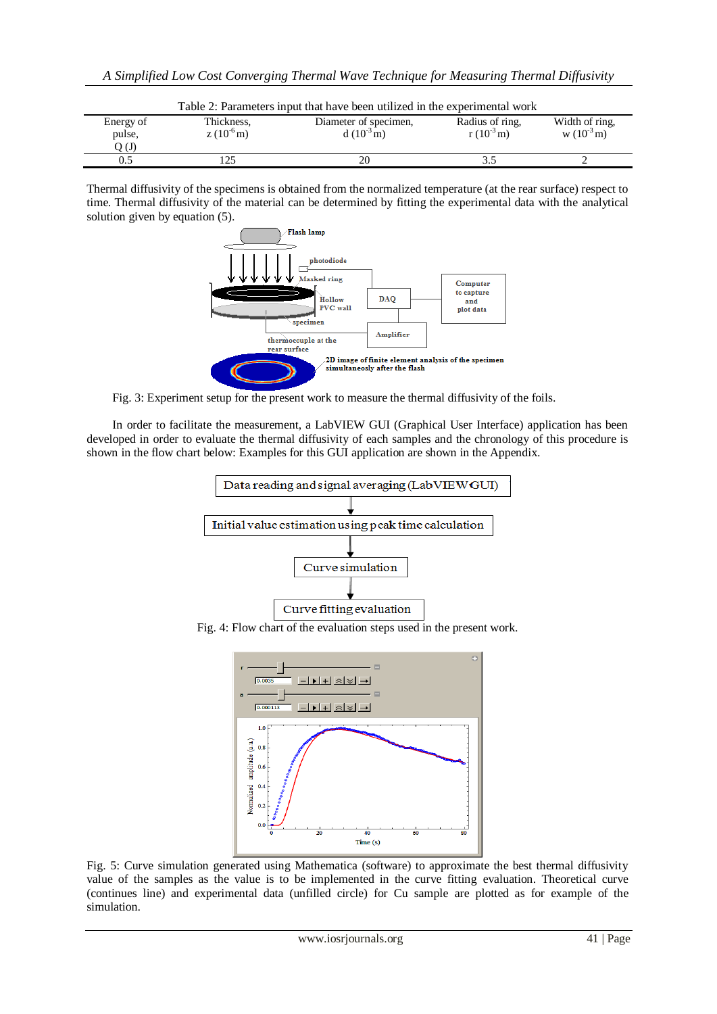| Table 2: Parameters input that have been utilized in the experimental work |                             |                                                  |                                            |                                 |  |
|----------------------------------------------------------------------------|-----------------------------|--------------------------------------------------|--------------------------------------------|---------------------------------|--|
| Energy of                                                                  | Thickness,<br>$z(10^{-6}m)$ | Diameter of specimen,<br>d $(10^{-3} \text{ m})$ | Radius of ring.<br>r $(10^{-3} \text{ m})$ | Width of ring,<br>$w(10^{-3}m)$ |  |
| pulse,<br>(L)                                                              |                             |                                                  |                                            |                                 |  |
| 9.5                                                                        |                             | 20                                               |                                            |                                 |  |

Thermal diffusivity of the specimens is obtained from the normalized temperature (at the rear surface) respect to time. Thermal diffusivity of the material can be determined by fitting the experimental data with the analytical solution given by equation (5).



Fig. 3: Experiment setup for the present work to measure the thermal diffusivity of the foils.

In order to facilitate the measurement, a LabVIEW GUI (Graphical User Interface) application has been developed in order to evaluate the thermal diffusivity of each samples and the chronology of this procedure is shown in the flow chart below: Examples for this GUI application are shown in the Appendix.



Fig. 4: Flow chart of the evaluation steps used in the present work.



Fig. 5: Curve simulation generated using Mathematica (software) to approximate the best thermal diffusivity value of the samples as the value is to be implemented in the curve fitting evaluation. Theoretical curve (continues line) and experimental data (unfilled circle) for Cu sample are plotted as for example of the simulation.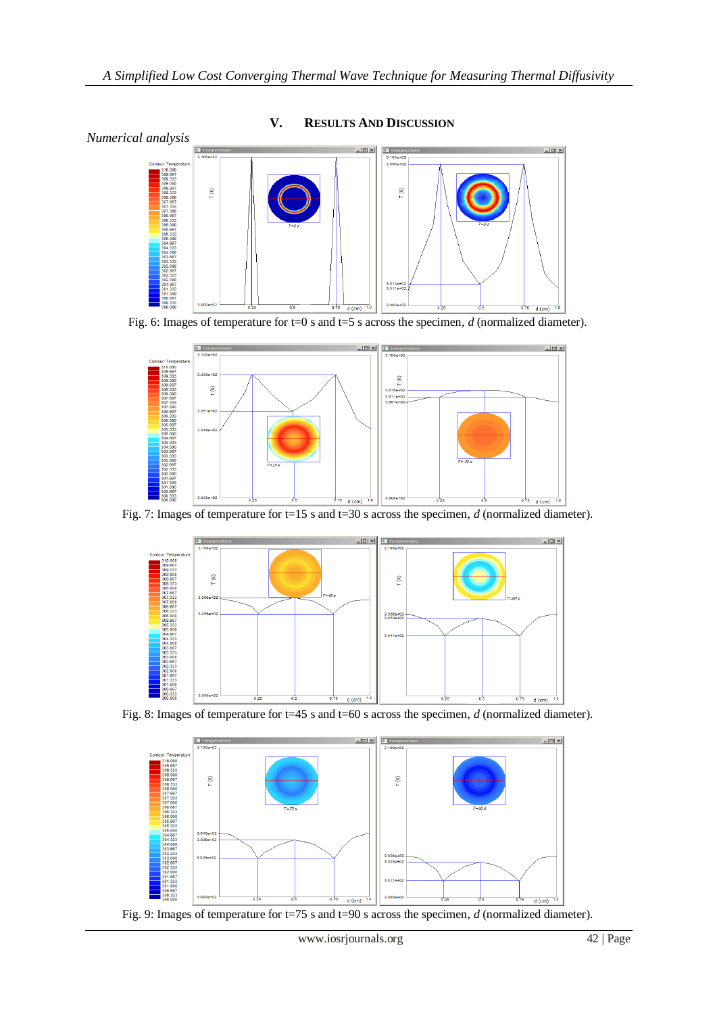

**V. RESULTS AND DISCUSSION**

Fig. 6: Images of temperature for t=0 s and t=5 s across the specimen, *d* (normalized diameter).



Fig. 7: Images of temperature for t=15 s and t=30 s across the specimen, *d* (normalized diameter).



Fig. 8: Images of temperature for t=45 s and t=60 s across the specimen, *d* (normalized diameter).



Fig. 9: Images of temperature for t=75 s and t=90 s across the specimen, *d* (normalized diameter).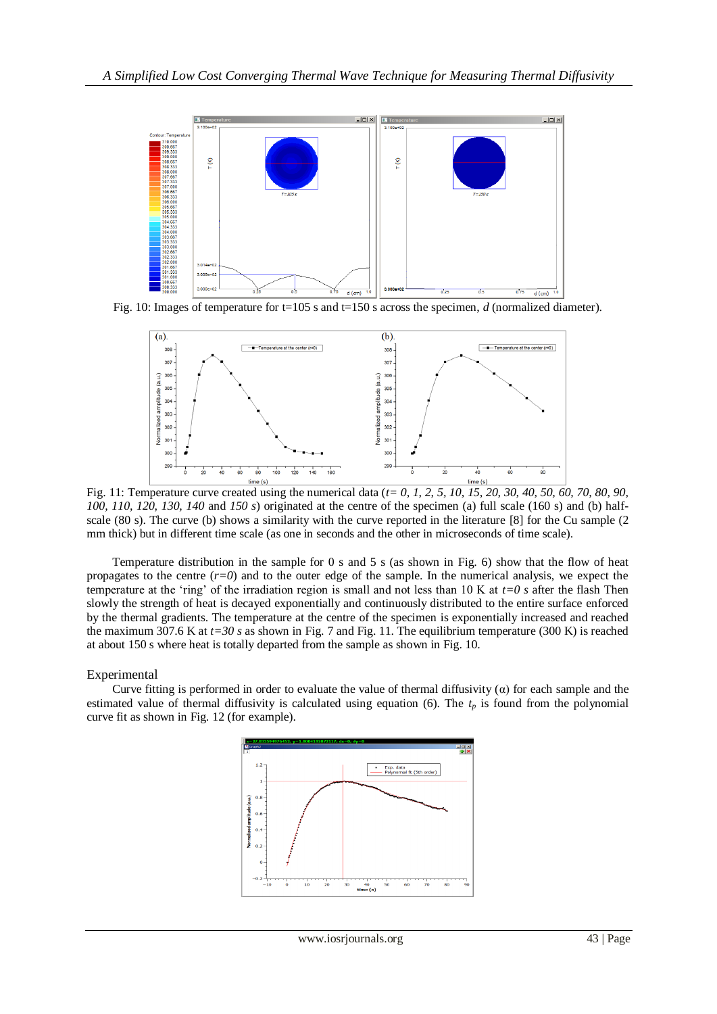

Fig. 10: Images of temperature for t=105 s and t=150 s across the specimen, *d* (normalized diameter).



Fig. 11: Temperature curve created using the numerical data (*t= 0, 1, 2, 5, 10, 15, 20, 30, 40, 50, 60, 70, 80, 90, 100, 110, 120, 130, 140* and *150 s*) originated at the centre of the specimen (a) full scale (160 s) and (b) halfscale (80 s). The curve (b) shows a similarity with the curve reported in the literature [8] for the Cu sample (2) mm thick) but in different time scale (as one in seconds and the other in microseconds of time scale).

Temperature distribution in the sample for 0 s and 5 s (as shown in Fig. 6) show that the flow of heat propagates to the centre  $(r=0)$  and to the outer edge of the sample. In the numerical analysis, we expect the temperature at the 'ring' of the irradiation region is small and not less than 10 K at *t=0 s* after the flash Then slowly the strength of heat is decayed exponentially and continuously distributed to the entire surface enforced by the thermal gradients. The temperature at the centre of the specimen is exponentially increased and reached the maximum 307.6 K at *t=30 s* as shown in Fig. 7 and Fig. 11. The equilibrium temperature (300 K) is reached at about 150 s where heat is totally departed from the sample as shown in Fig. 10.

#### Experimental

Curve fitting is performed in order to evaluate the value of thermal diffusivity  $\alpha$ ) for each sample and the estimated value of thermal diffusivity is calculated using equation (6). The  $t<sub>p</sub>$  is found from the polynomial curve fit as shown in Fig. 12 (for example).

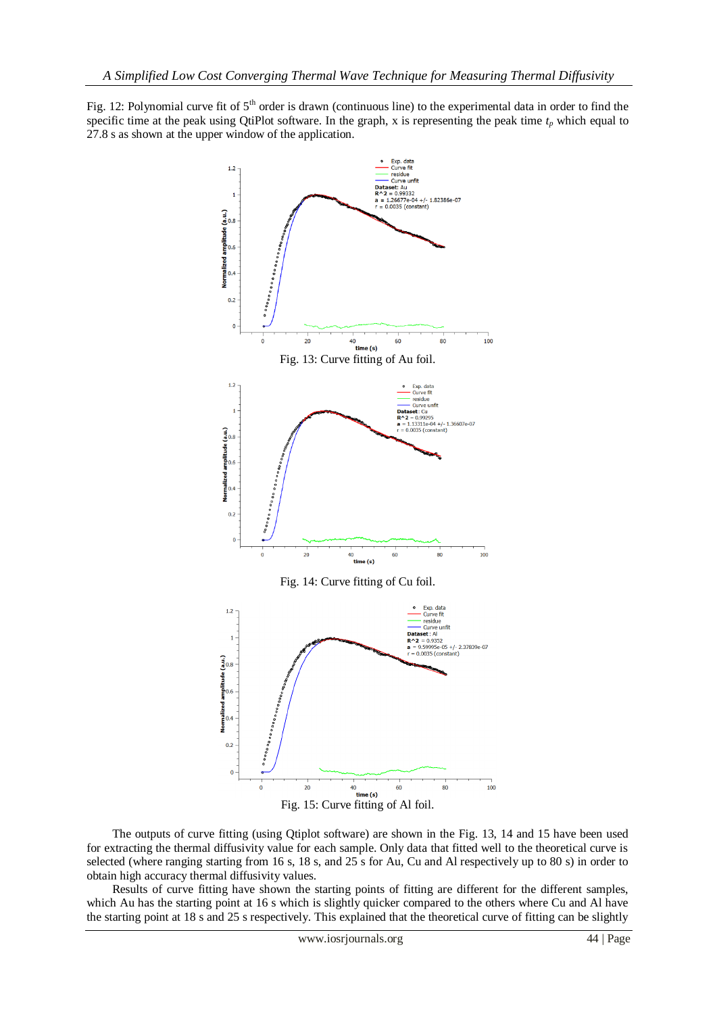Fig. 12: Polynomial curve fit of  $5<sup>th</sup>$  order is drawn (continuous line) to the experimental data in order to find the specific time at the peak using QtiPlot software. In the graph, x is representing the peak time  $t_p$  which equal to 27.8 s as shown at the upper window of the application.



The outputs of curve fitting (using Qtiplot software) are shown in the Fig. 13, 14 and 15 have been used for extracting the thermal diffusivity value for each sample. Only data that fitted well to the theoretical curve is selected (where ranging starting from 16 s, 18 s, and 25 s for Au, Cu and Al respectively up to 80 s) in order to obtain high accuracy thermal diffusivity values.

Results of curve fitting have shown the starting points of fitting are different for the different samples, which Au has the starting point at 16 s which is slightly quicker compared to the others where Cu and Al have the starting point at 18 s and 25 s respectively. This explained that the theoretical curve of fitting can be slightly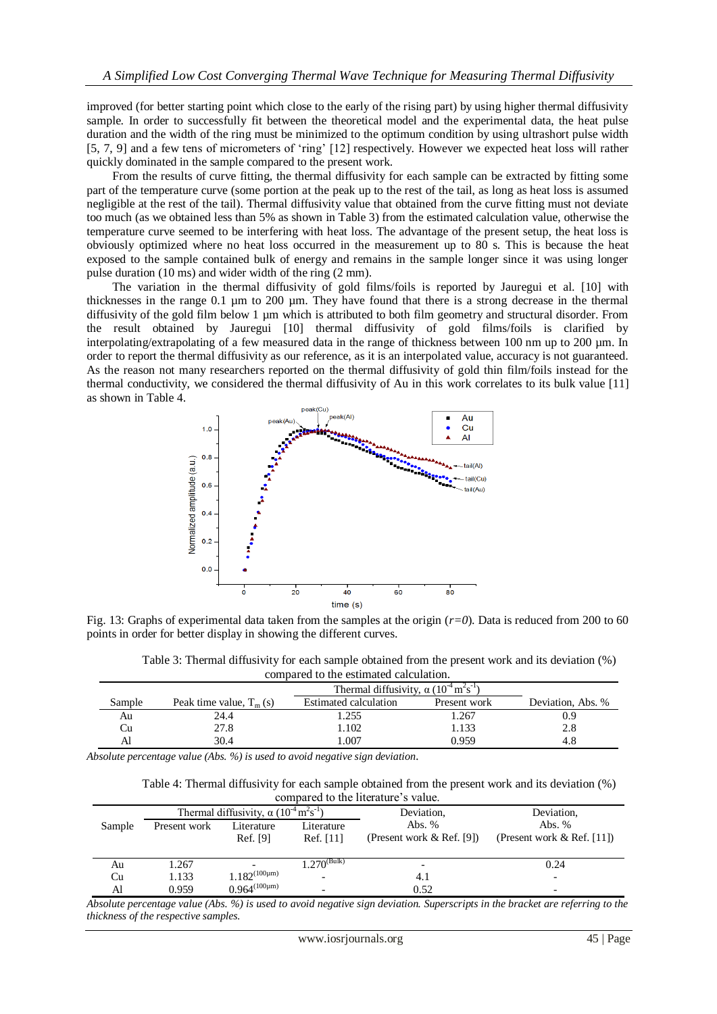improved (for better starting point which close to the early of the rising part) by using higher thermal diffusivity sample. In order to successfully fit between the theoretical model and the experimental data, the heat pulse duration and the width of the ring must be minimized to the optimum condition by using ultrashort pulse width [5, 7, 9] and a few tens of micrometers of 'ring' [12] respectively. However we expected heat loss will rather quickly dominated in the sample compared to the present work.

From the results of curve fitting, the thermal diffusivity for each sample can be extracted by fitting some part of the temperature curve (some portion at the peak up to the rest of the tail, as long as heat loss is assumed negligible at the rest of the tail). Thermal diffusivity value that obtained from the curve fitting must not deviate too much (as we obtained less than 5% as shown in Table 3) from the estimated calculation value, otherwise the temperature curve seemed to be interfering with heat loss. The advantage of the present setup, the heat loss is obviously optimized where no heat loss occurred in the measurement up to 80 s. This is because the heat exposed to the sample contained bulk of energy and remains in the sample longer since it was using longer pulse duration (10 ms) and wider width of the ring (2 mm).

The variation in the thermal diffusivity of gold films/foils is reported by Jauregui et al. [10] with thicknesses in the range 0.1 µm to 200 µm. They have found that there is a strong decrease in the thermal diffusivity of the gold film below 1 µm which is attributed to both film geometry and structural disorder. From the result obtained by Jauregui [10] thermal diffusivity of gold films/foils is clarified by interpolating/extrapolating of a few measured data in the range of thickness between 100 nm up to 200 µm. In order to report the thermal diffusivity as our reference, as it is an interpolated value, accuracy is not guaranteed. As the reason not many researchers reported on the thermal diffusivity of gold thin film/foils instead for the thermal conductivity, we considered the thermal diffusivity of Au in this work correlates to its bulk value [11] as shown in Table 4.



Fig. 13: Graphs of experimental data taken from the samples at the origin (*r=0*). Data is reduced from 200 to 60 points in order for better display in showing the different curves.

Table 3: Thermal diffusivity for each sample obtained from the present work and its deviation (%) compared to the estimated calculation.

|        |                           | Thermal diffusivity, $\alpha$ (10 <sup>-4</sup> m <sup>2</sup> s <sup>-1</sup> ) |              |                   |
|--------|---------------------------|----------------------------------------------------------------------------------|--------------|-------------------|
| Sample | Peak time value, $T_m(s)$ | Estimated calculation                                                            | Present work | Deviation, Abs. % |
| Au     | 24.4                      | .255                                                                             | .267         | 0.9               |
| Cu     | 27.8                      | 1.102                                                                            | 1.133        | 2.8               |
| Al     | 30.4                      | 007                                                                              | 0.959        |                   |

*Absolute percentage value (Abs. %) is used to avoid negative sign deviation.*

| Table 4: Thermal diffusivity for each sample obtained from the present work and its deviation (%) |  |
|---------------------------------------------------------------------------------------------------|--|
| compared to the literature's value.                                                               |  |

|        | Thermal diffusivity, $\alpha$ (10 <sup>-4</sup> m <sup>2</sup> s <sup>-1</sup> ) |                      |                         | Deviation,                   | Deviation,                    |  |
|--------|----------------------------------------------------------------------------------|----------------------|-------------------------|------------------------------|-------------------------------|--|
| Sample | Present work                                                                     | Literature           | Literature              | Abs. $%$                     | Abs. $%$                      |  |
|        |                                                                                  | Ref. [9]             | Ref. [11]               | (Present work $\&$ Ref. [9]) | (Present work $\&$ Ref. [11]) |  |
|        |                                                                                  |                      |                         |                              |                               |  |
| Au     | 1.267                                                                            |                      | $270$ <sup>(Bulk)</sup> |                              | 0.24                          |  |
| Cu     | 1.133                                                                            | $1.182^{(100\mu m)}$ |                         | 4.1                          |                               |  |
| Al     | 0.959                                                                            | $0.964^{(100\mu m)}$ |                         | 0.52                         |                               |  |

*Absolute percentage value (Abs. %) is used to avoid negative sign deviation. Superscripts in the bracket are referring to the thickness of the respective samples.*